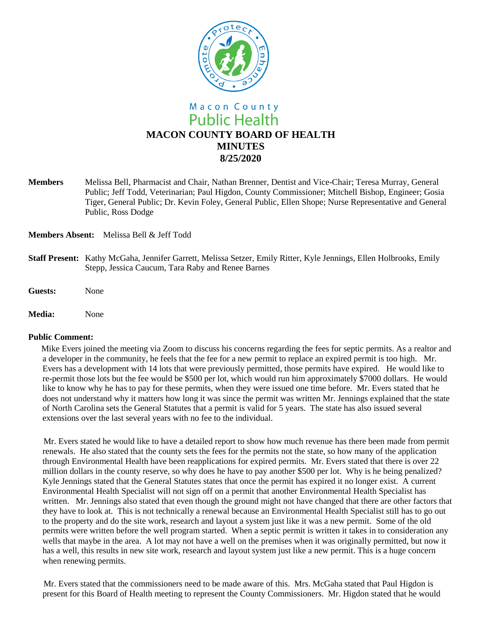

**Members** Melissa Bell, Pharmacist and Chair, Nathan Brenner, Dentist and Vice-Chair; Teresa Murray, General Public; Jeff Todd, Veterinarian; Paul Higdon, County Commissioner; Mitchell Bishop, Engineer; Gosia Tiger, General Public; Dr. Kevin Foley, General Public, Ellen Shope; Nurse Representative and General Public, Ross Dodge

**Members Absent:** Melissa Bell & Jeff Todd

- **Staff Present:** Kathy McGaha, Jennifer Garrett, Melissa Setzer, Emily Ritter, Kyle Jennings, Ellen Holbrooks, Emily Stepp, Jessica Caucum, Tara Raby and Renee Barnes
- **Guests:** None
- **Media:** None

#### **Public Comment:**

Mike Evers joined the meeting via Zoom to discuss his concerns regarding the fees for septic permits. As a realtor and a developer in the community, he feels that the fee for a new permit to replace an expired permit is too high. Mr. Evers has a development with 14 lots that were previously permitted, those permits have expired. He would like to re-permit those lots but the fee would be \$500 per lot, which would run him approximately \$7000 dollars. He would like to know why he has to pay for these permits, when they were issued one time before. Mr. Evers stated that he does not understand why it matters how long it was since the permit was written Mr. Jennings explained that the state of North Carolina sets the General Statutes that a permit is valid for 5 years. The state has also issued several extensions over the last several years with no fee to the individual.

 Mr. Evers stated he would like to have a detailed report to show how much revenue has there been made from permit renewals. He also stated that the county sets the fees for the permits not the state, so how many of the application through Environmental Health have been reapplications for expired permits. Mr. Evers stated that there is over 22 million dollars in the county reserve, so why does he have to pay another \$500 per lot. Why is he being penalized? Kyle Jennings stated that the General Statutes states that once the permit has expired it no longer exist. A current Environmental Health Specialist will not sign off on a permit that another Environmental Health Specialist has written. Mr. Jennings also stated that even though the ground might not have changed that there are other factors that they have to look at. This is not technically a renewal because an Environmental Health Specialist still has to go out to the property and do the site work, research and layout a system just like it was a new permit. Some of the old permits were written before the well program started. When a septic permit is written it takes in to consideration any wells that maybe in the area. A lot may not have a well on the premises when it was originally permitted, but now it has a well, this results in new site work, research and layout system just like a new permit. This is a huge concern when renewing permits.

 Mr. Evers stated that the commissioners need to be made aware of this. Mrs. McGaha stated that Paul Higdon is present for this Board of Health meeting to represent the County Commissioners. Mr. Higdon stated that he would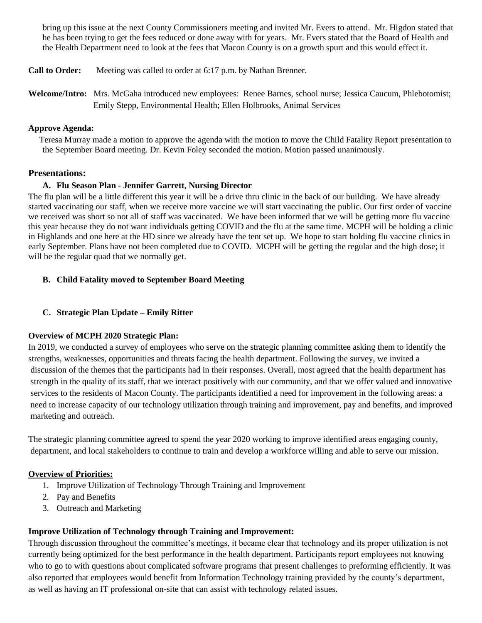bring up this issue at the next County Commissioners meeting and invited Mr. Evers to attend. Mr. Higdon stated that he has been trying to get the fees reduced or done away with for years. Mr. Evers stated that the Board of Health and the Health Department need to look at the fees that Macon County is on a growth spurt and this would effect it.

- **Call to Order:** Meeting was called to order at 6:17 p.m. by Nathan Brenner.
- **Welcome/Intro:** Mrs. McGaha introduced new employees: Renee Barnes, school nurse; Jessica Caucum, Phlebotomist; Emily Stepp, Environmental Health; Ellen Holbrooks, Animal Services

#### **Approve Agenda:**

 Teresa Murray made a motion to approve the agenda with the motion to move the Child Fatality Report presentation to the September Board meeting. Dr. Kevin Foley seconded the motion. Motion passed unanimously.

### **Presentations:**

### **A. Flu Season Plan - Jennifer Garrett, Nursing Director**

The flu plan will be a little different this year it will be a drive thru clinic in the back of our building. We have already started vaccinating our staff, when we receive more vaccine we will start vaccinating the public. Our first order of vaccine we received was short so not all of staff was vaccinated. We have been informed that we will be getting more flu vaccine this year because they do not want individuals getting COVID and the flu at the same time. MCPH will be holding a clinic in Highlands and one here at the HD since we already have the tent set up. We hope to start holding flu vaccine clinics in early September. Plans have not been completed due to COVID. MCPH will be getting the regular and the high dose; it will be the regular quad that we normally get.

## **B. Child Fatality moved to September Board Meeting**

#### **C. Strategic Plan Update – Emily Ritter**

#### **Overview of MCPH 2020 Strategic Plan:**

In 2019, we conducted a survey of employees who serve on the strategic planning committee asking them to identify the strengths, weaknesses, opportunities and threats facing the health department. Following the survey, we invited a discussion of the themes that the participants had in their responses. Overall, most agreed that the health department has strength in the quality of its staff, that we interact positively with our community, and that we offer valued and innovative services to the residents of Macon County. The participants identified a need for improvement in the following areas: a need to increase capacity of our technology utilization through training and improvement, pay and benefits, and improved marketing and outreach.

The strategic planning committee agreed to spend the year 2020 working to improve identified areas engaging county, department, and local stakeholders to continue to train and develop a workforce willing and able to serve our mission.

#### **Overview of Priorities:**

- 1. Improve Utilization of Technology Through Training and Improvement
- 2. Pay and Benefits
- 3. Outreach and Marketing

#### **Improve Utilization of Technology through Training and Improvement:**

Through discussion throughout the committee's meetings, it became clear that technology and its proper utilization is not currently being optimized for the best performance in the health department. Participants report employees not knowing who to go to with questions about complicated software programs that present challenges to preforming efficiently. It was also reported that employees would benefit from Information Technology training provided by the county's department, as well as having an IT professional on-site that can assist with technology related issues.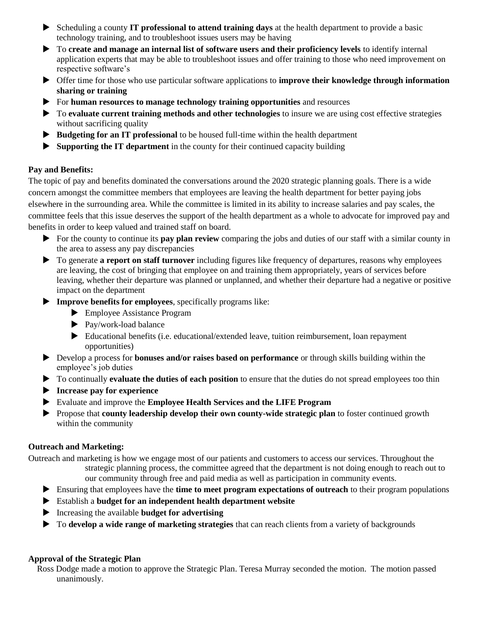- Scheduling a county **IT professional to attend training days** at the health department to provide a basic technology training, and to troubleshoot issues users may be having
- To **create and manage an internal list of software users and their proficiency levels** to identify internal application experts that may be able to troubleshoot issues and offer training to those who need improvement on respective software's
- Offer time for those who use particular software applications to **improve their knowledge through information sharing or training**
- For **human resources to manage technology training opportunities** and resources
- To **evaluate current training methods and other technologies** to insure we are using cost effective strategies without sacrificing quality
- **Budgeting for an IT professional** to be housed full-time within the health department
- **Supporting the IT department** in the county for their continued capacity building

#### **Pay and Benefits:**

The topic of pay and benefits dominated the conversations around the 2020 strategic planning goals. There is a wide concern amongst the committee members that employees are leaving the health department for better paying jobs elsewhere in the surrounding area. While the committee is limited in its ability to increase salaries and pay scales, the committee feels that this issue deserves the support of the health department as a whole to advocate for improved pay and benefits in order to keep valued and trained staff on board.

- For the county to continue its **pay plan review** comparing the jobs and duties of our staff with a similar county in the area to assess any pay discrepancies
- To generate **a report on staff turnover** including figures like frequency of departures, reasons why employees are leaving, the cost of bringing that employee on and training them appropriately, years of services before leaving, whether their departure was planned or unplanned, and whether their departure had a negative or positive impact on the department
- **Improve benefits for employees**, specifically programs like:
	- ▶ Employee Assistance Program
	- ▶ Pay/work-load balance
	- Educational benefits (i.e. educational/extended leave, tuition reimbursement, loan repayment opportunities)
- Develop a process for **bonuses and/or raises based on performance** or through skills building within the employee's job duties
- To continually **evaluate the duties of each position** to ensure that the duties do not spread employees too thin
- **Increase pay for experience**
- Evaluate and improve the **Employee Health Services and the LIFE Program**
- Propose that **county leadership develop their own county-wide strategic plan** to foster continued growth within the community

## **Outreach and Marketing:**

Outreach and marketing is how we engage most of our patients and customers to access our services. Throughout the strategic planning process, the committee agreed that the department is not doing enough to reach out to our community through free and paid media as well as participation in community events.

- Ensuring that employees have the **time to meet program expectations of outreach** to their program populations
- Establish a **budget for an independent health department website**
- Increasing the available **budget for advertising**
- To **develop a wide range of marketing strategies** that can reach clients from a variety of backgrounds

#### **Approval of the Strategic Plan**

 Ross Dodge made a motion to approve the Strategic Plan. Teresa Murray seconded the motion. The motion passed unanimously.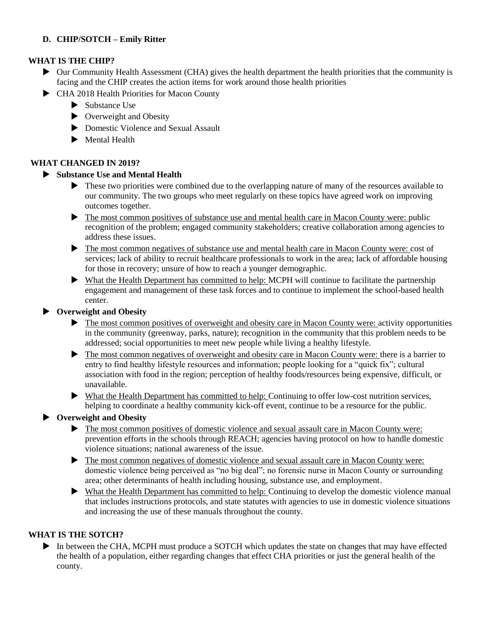# **D. CHIP/SOTCH – Emily Ritter**

## **WHAT IS THE CHIP?**

- Our Community Health Assessment (CHA) gives the health department the health priorities that the community is facing and the CHIP creates the action items for work around those health priorities
- CHA 2018 Health Priorities for Macon County
	- $\blacktriangleright$  Substance Use
	- ▶ Overweight and Obesity
	- Domestic Violence and Sexual Assault
	- Mental Health

## **WHAT CHANGED IN 2019?**

## **Substance Use and Mental Health**

- These two priorities were combined due to the overlapping nature of many of the resources available to our community. The two groups who meet regularly on these topics have agreed work on improving outcomes together.
- The most common positives of substance use and mental health care in Macon County were: public recognition of the problem; engaged community stakeholders; creative collaboration among agencies to address these issues.
- The most common negatives of substance use and mental health care in Macon County were: cost of services; lack of ability to recruit healthcare professionals to work in the area; lack of affordable housing for those in recovery; unsure of how to reach a younger demographic.
- What the Health Department has committed to help: MCPH will continue to facilitate the partnership engagement and management of these task forces and to continue to implement the school-based health center.

## **Overweight and Obesity**

- $\blacktriangleright$  The most common positives of overweight and obesity care in Macon County were: activity opportunities in the community (greenway, parks, nature); recognition in the community that this problem needs to be addressed; social opportunities to meet new people while living a healthy lifestyle.
- The most common negatives of overweight and obesity care in Macon County were: there is a barrier to entry to find healthy lifestyle resources and information; people looking for a "quick fix"; cultural association with food in the region; perception of healthy foods/resources being expensive, difficult, or unavailable.
- What the Health Department has committed to help: Continuing to offer low-cost nutrition services, helping to coordinate a healthy community kick-off event, continue to be a resource for the public.

## **Overweight and Obesity**

- The most common positives of domestic violence and sexual assault care in Macon County were: prevention efforts in the schools through REACH; agencies having protocol on how to handle domestic violence situations; national awareness of the issue.
- The most common negatives of domestic violence and sexual assault care in Macon County were: domestic violence being perceived as "no big deal"; no forensic nurse in Macon County or surrounding area; other determinants of health including housing, substance use, and employment.
- What the Health Department has committed to help: Continuing to develop the domestic violence manual that includes instructions protocols, and state statutes with agencies to use in domestic violence situations and increasing the use of these manuals throughout the county.

## **WHAT IS THE SOTCH?**

In between the CHA, MCPH must produce a SOTCH which updates the state on changes that may have effected the health of a population, either regarding changes that effect CHA priorities or just the general health of the county.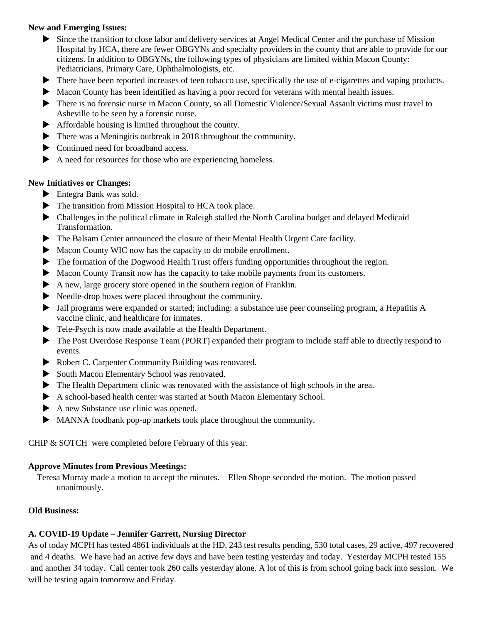### **New and Emerging Issues:**

- Since the transition to close labor and delivery services at Angel Medical Center and the purchase of Mission Hospital by HCA, there are fewer OBGYNs and specialty providers in the county that are able to provide for our citizens. In addition to OBGYNs, the following types of physicians are limited within Macon County: Pediatricians, Primary Care, Ophthalmologists, etc.
- $\blacktriangleright$  There have been reported increases of teen tobacco use, specifically the use of e-cigarettes and vaping products.
- Macon County has been identified as having a poor record for veterans with mental health issues.
- There is no forensic nurse in Macon County, so all Domestic Violence/Sexual Assault victims must travel to Asheville to be seen by a forensic nurse.
- Affordable housing is limited throughout the county.
- $\blacktriangleright$  There was a Meningitis outbreak in 2018 throughout the community.
- $\triangleright$  Continued need for broadband access.
- A need for resources for those who are experiencing homeless.

### **New Initiatives or Changes:**

- Entegra Bank was sold.
- $\blacktriangleright$  The transition from Mission Hospital to HCA took place.
- Challenges in the political climate in Raleigh stalled the North Carolina budget and delayed Medicaid Transformation.
- The Balsam Center announced the closure of their Mental Health Urgent Care facility.
- Macon County WIC now has the capacity to do mobile enrollment.
- The formation of the Dogwood Health Trust offers funding opportunities throughout the region.
- $\blacktriangleright$  Macon County Transit now has the capacity to take mobile payments from its customers.
- A new, large grocery store opened in the southern region of Franklin.
- Needle-drop boxes were placed throughout the community.
- Jail programs were expanded or started; including: a substance use peer counseling program, a Hepatitis A vaccine clinic, and healthcare for inmates.
- $\blacktriangleright$  Tele-Psych is now made available at the Health Department.
- The Post Overdose Response Team (PORT) expanded their program to include staff able to directly respond to events.
- ▶ Robert C. Carpenter Community Building was renovated.
- South Macon Elementary School was renovated.
- The Health Department clinic was renovated with the assistance of high schools in the area.
- A school-based health center was started at South Macon Elementary School.
- A new Substance use clinic was opened.
- MANNA foodbank pop-up markets took place throughout the community.

CHIP & SOTCH were completed before February of this year.

#### **Approve Minutes from Previous Meetings:**

 Teresa Murray made a motion to accept the minutes. Ellen Shope seconded the motion. The motion passed unanimously.

### **Old Business:**

## **A. COVID-19 Update – Jennifer Garrett, Nursing Director**

As of today MCPH has tested 4861 individuals at the HD, 243 test results pending, 530 total cases, 29 active, 497 recovered and 4 deaths. We have had an active few days and have been testing yesterday and today. Yesterday MCPH tested 155 and another 34 today. Call center took 260 calls yesterday alone. A lot of this is from school going back into session. We will be testing again tomorrow and Friday.